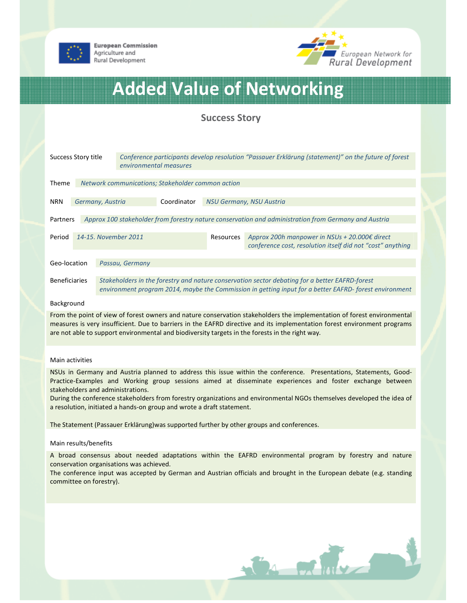

**European Commission** Agriculture and Rural Development



# Added Value of Networking

# Success Story

| Success Story title                                               |                      |                                                                                                                                                                                                         | Conference participants develop resolution "Passauer Erklärung (statement)" on the future of forest<br>environmental measures |             |                          |                                                                                                             |  |
|-------------------------------------------------------------------|----------------------|---------------------------------------------------------------------------------------------------------------------------------------------------------------------------------------------------------|-------------------------------------------------------------------------------------------------------------------------------|-------------|--------------------------|-------------------------------------------------------------------------------------------------------------|--|
|                                                                   |                      |                                                                                                                                                                                                         |                                                                                                                               |             |                          |                                                                                                             |  |
| Network communications; Stakeholder common action<br><b>Theme</b> |                      |                                                                                                                                                                                                         |                                                                                                                               |             |                          |                                                                                                             |  |
|                                                                   |                      |                                                                                                                                                                                                         |                                                                                                                               |             |                          |                                                                                                             |  |
| <b>NRN</b>                                                        |                      | Germany, Austria                                                                                                                                                                                        |                                                                                                                               | Coordinator | NSU Germany, NSU Austria |                                                                                                             |  |
|                                                                   |                      |                                                                                                                                                                                                         |                                                                                                                               |             |                          |                                                                                                             |  |
| Partners                                                          |                      |                                                                                                                                                                                                         | Approx 100 stakeholder from forestry nature conservation and administration from Germany and Austria                          |             |                          |                                                                                                             |  |
|                                                                   |                      |                                                                                                                                                                                                         |                                                                                                                               |             |                          |                                                                                                             |  |
| Period                                                            | 14-15. November 2011 |                                                                                                                                                                                                         |                                                                                                                               |             | Resources                | Approx 200h manpower in NSUs + 20.000€ direct<br>conference cost, resolution itself did not "cost" anything |  |
|                                                                   |                      |                                                                                                                                                                                                         |                                                                                                                               |             |                          |                                                                                                             |  |
| Geo-location                                                      |                      | Passau, Germany                                                                                                                                                                                         |                                                                                                                               |             |                          |                                                                                                             |  |
|                                                                   |                      |                                                                                                                                                                                                         |                                                                                                                               |             |                          |                                                                                                             |  |
| <b>Beneficiaries</b>                                              |                      | Stakeholders in the forestry and nature conservation sector debating for a better EAFRD-forest<br>environment program 2014, maybe the Commission in getting input for a better EAFRD-forest environment |                                                                                                                               |             |                          |                                                                                                             |  |

#### Background

From the point of view of forest owners and nature conservation stakeholders the implementation of forest environmental measures is very insufficient. Due to barriers in the EAFRD directive and its implementation forest environment programs are not able to support environmental and biodiversity targets in the forests in the right way.

# Main activities

NSUs in Germany and Austria planned to address this issue within the conference. Presentations, Statements, Good-Practice-Examples and Working group sessions aimed at disseminate experiences and foster exchange between stakeholders and administrations.

During the conference stakeholders from forestry organizations and environmental NGOs themselves developed the idea of a resolution, initiated a hands-on group and wrote a draft statement.

The Statement (Passauer Erklärung)was supported further by other groups and conferences.

## Main results/benefits

A broad consensus about needed adaptations within the EAFRD environmental program by forestry and nature conservation organisations was achieved.

The conference input was accepted by German and Austrian officials and brought in the European debate (e.g. standing committee on forestry).

CA Miller